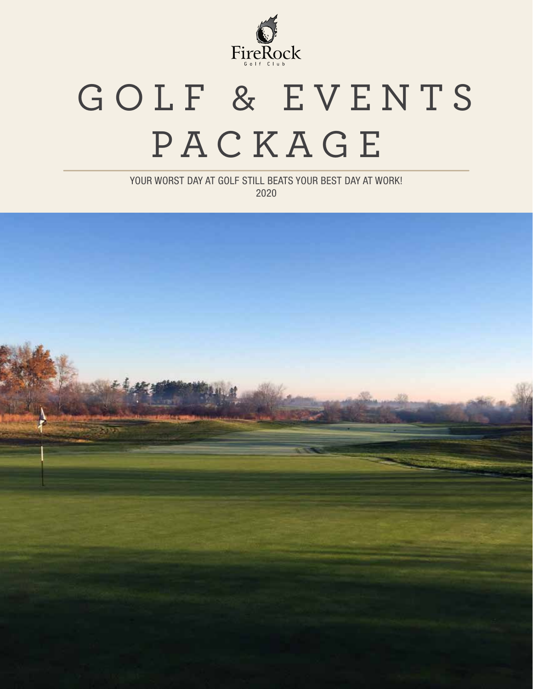

# G O L F & E V E N T S PACKAGE

YOUR WORST DAY AT GOLF STILL BEATS YOUR BEST DAY AT WORK! 2020

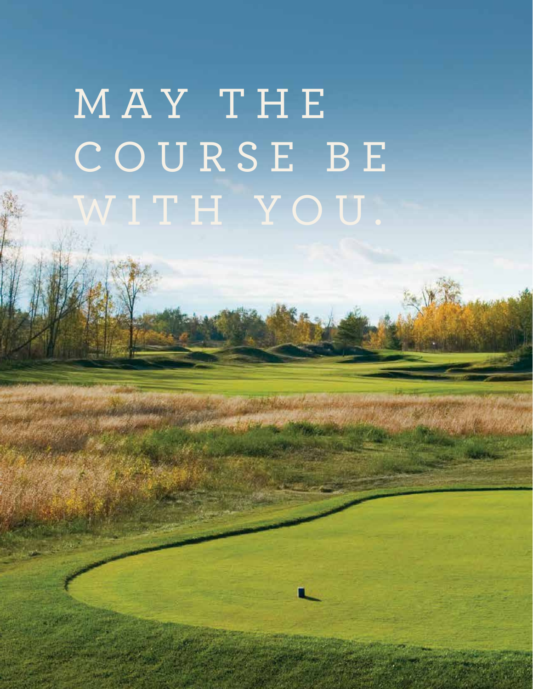# MAY THE COURSE BE W I T H Y O U .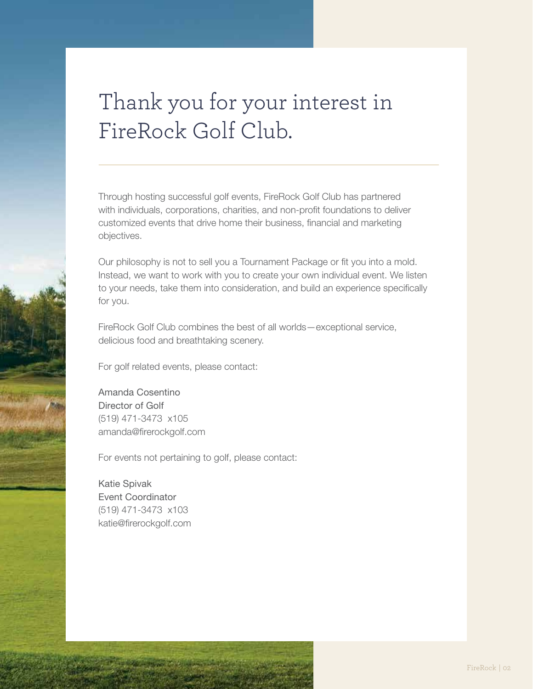# Thank you for your interest in FireRock Golf Club.

Through hosting successful golf events, FireRock Golf Club has partnered with individuals, corporations, charities, and non-profit foundations to deliver customized events that drive home their business, financial and marketing objectives.

Our philosophy is not to sell you a Tournament Package or fit you into a mold. Instead, we want to work with you to create your own individual event. We listen to your needs, take them into consideration, and build an experience specifically for you.

FireRock Golf Club combines the best of all worlds—exceptional service, delicious food and breathtaking scenery.

For golf related events, please contact:

Amanda Cosentino Director of Golf (519) 471-3473 x105 amanda@firerockgolf.com

For events not pertaining to golf, please contact:

Katie Spivak Event Coordinator (519) 471-3473 x103 katie@firerockgolf.com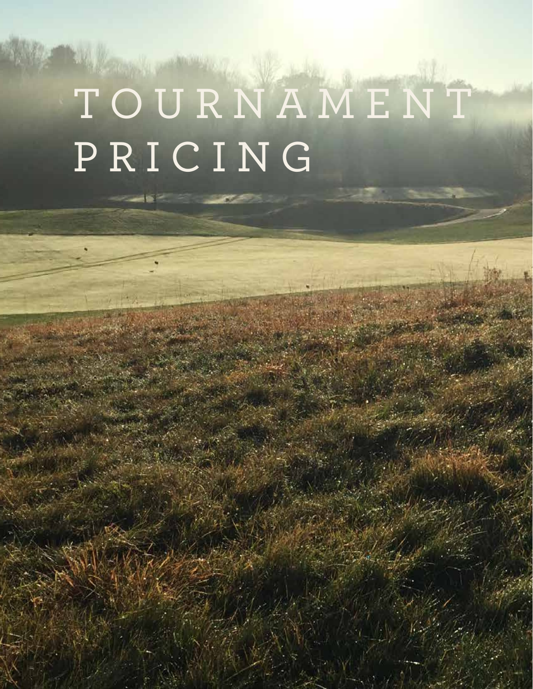# T O U R N A M E N T PRICING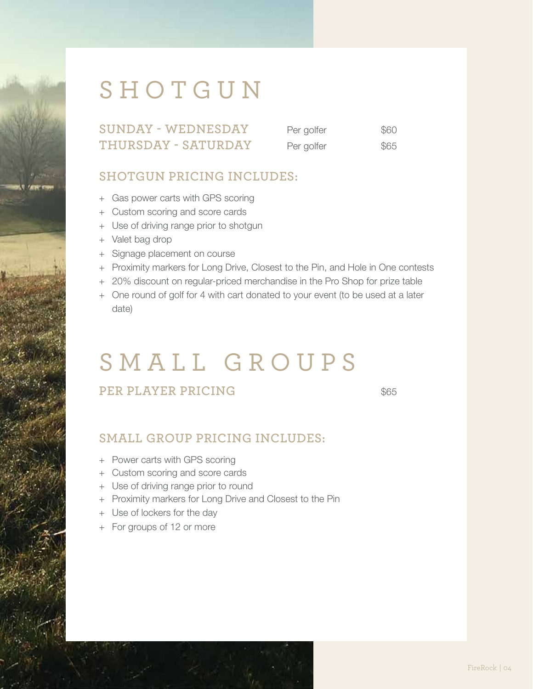# SHOTGUN

**SUNDAY - WEDNESDAY** Per golfer \$60 **THURSDAY - SATURDAY** Per golfer \$65

#### **SHOTGUN PRICING INCLUDES:**

- + Gas power carts with GPS scoring
- + Custom scoring and score cards
- + Use of driving range prior to shotgun
- + Valet bag drop
- + Signage placement on course
- + Proximity markers for Long Drive, Closest to the Pin, and Hole in One contests
- + 20% discount on regular-priced merchandise in the Pro Shop for prize table
- + One round of golf for 4 with cart donated to your event (to be used at a later date)

# SMALL GROUPS

### **PER PLAYER PRICING \$65**

#### **SMALL GROUP PRICING INCLUDES:**

- + Power carts with GPS scoring
- + Custom scoring and score cards
- + Use of driving range prior to round
- + Proximity markers for Long Drive and Closest to the Pin
- + Use of lockers for the day
- + For groups of 12 or more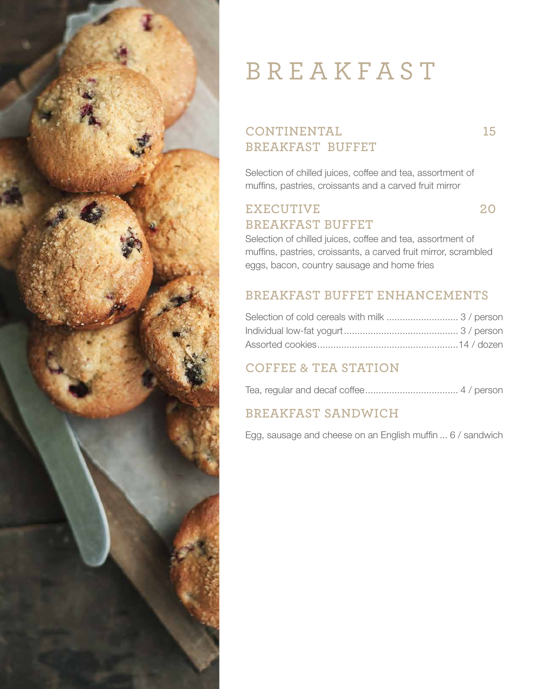

# BREAKFAST

# **CONTINENTAL 15 BREAKFAST BUFFET**

Selection of chilled juices, coffee and tea, assortment of muffins, pastries, croissants and a carved fruit mirror

# **EXECUTIVE 20 BREAKFAST BUFFET**

Selection of chilled juices, coffee and tea, assortment of muffins, pastries, croissants, a carved fruit mirror, scrambled eggs, bacon, country sausage and home fries

# **BREAKFAST BUFFET ENHANCEMENTS**

| Selection of cold cereals with milk  3/ person |  |
|------------------------------------------------|--|
|                                                |  |
|                                                |  |

#### **COFFEE & TEA STATION**

|--|--|--|--|--|

### **BREAKFAST SANDWICH**

Egg, sausage and cheese on an English muffin ... 6 / sandwich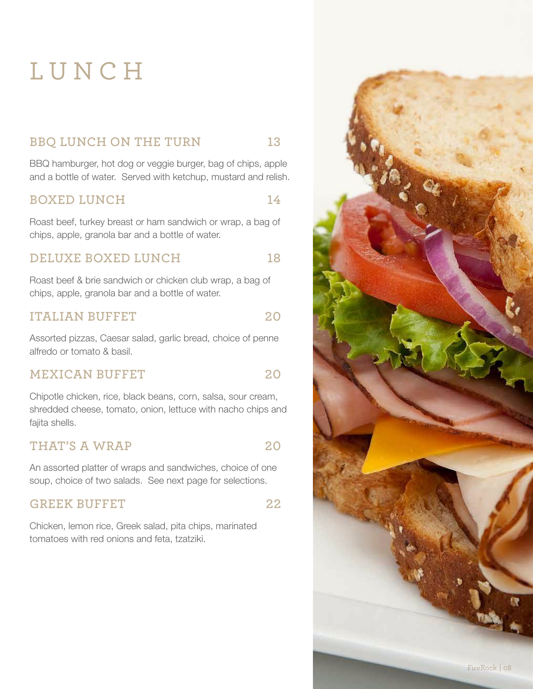# LUNCH

### **BBQ LUNCH ON THE TURN 13**

BBQ hamburger, hot dog or veggie burger, bag of chips, apple and a bottle of water. Served with ketchup, mustard and relish.

#### **BOXED LUNCH 14**

Roast beef, turkey breast or ham sandwich or wrap, a bag of chips, apple, granola bar and a bottle of water.

#### **DELUXE BOXED LUNCH 18**

Roast beef & brie sandwich or chicken club wrap, a bag of chips, apple, granola bar and a bottle of water.

#### **ITALIAN BUFFET 20**

Assorted pizzas, Caesar salad, garlic bread, choice of penne alfredo or tomato & basil.

#### **MEXICAN BUFFET 20**

Chipotle chicken, rice, black beans, corn, salsa, sour cream, shredded cheese, tomato, onion, lettuce with nacho chips and fajita shells.

#### **THAT'S A WRAP 20**

An assorted platter of wraps and sandwiches, choice of one soup, choice of two salads. See next page for selections.

#### **GREEK BUFFET 22**

Chicken, lemon rice, Greek salad, pita chips, marinated tomatoes with red onions and feta, tzatziki.

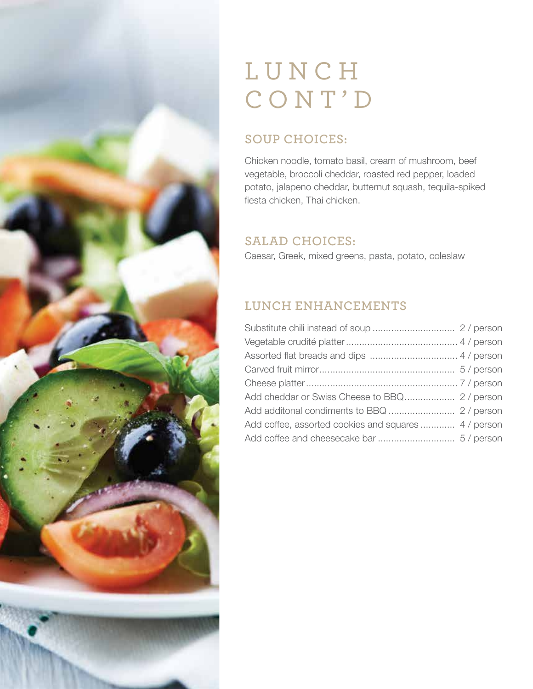

# LUNCH CONT'D

# **SOUP CHOICES:**

Chicken noodle, tomato basil, cream of mushroom, beef vegetable, broccoli cheddar, roasted red pepper, loaded potato, jalapeno cheddar, butternut squash, tequila-spiked fiesta chicken, Thai chicken.

## **SALAD CHOICES:**

Caesar, Greek, mixed greens, pasta, potato, coleslaw

# **LUNCH ENHANCEMENTS**

| Add coffee, assorted cookies and squares  4 / person |  |
|------------------------------------------------------|--|
|                                                      |  |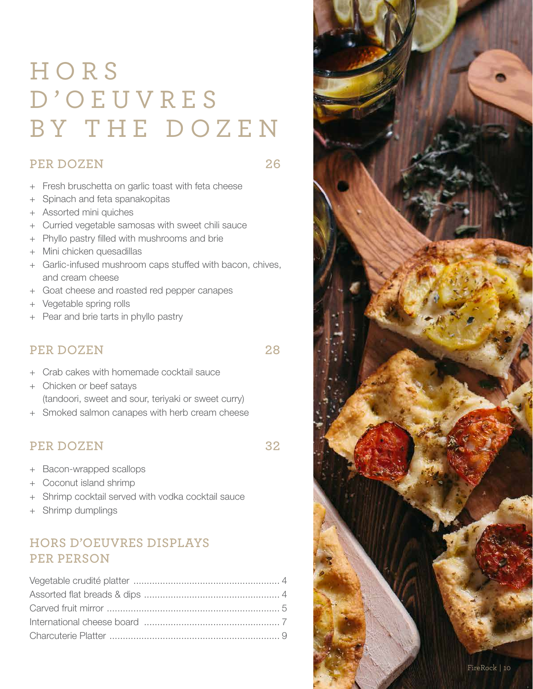# **HORS** D ' O E U V R E S BY THE DOZEN

### **PER DOZEN 26**

- 
- + Fresh bruschetta on garlic toast with feta cheese
- + Spinach and feta spanakopitas
- + Assorted mini quiches
- + Curried vegetable samosas with sweet chili sauce
- + Phyllo pastry filled with mushrooms and brie
- + Mini chicken quesadillas
- + Garlic-infused mushroom caps stuffed with bacon, chives, and cream cheese
- + Goat cheese and roasted red pepper canapes
- + Vegetable spring rolls
- + Pear and brie tarts in phyllo pastry

### **PER DOZEN 28**

- 
- + Crab cakes with homemade cocktail sauce
- + Chicken or beef satays (tandoori, sweet and sour, teriyaki or sweet curry)
- + Smoked salmon canapes with herb cream cheese

## PER DOZEN 32

- + Bacon-wrapped scallops
- + Coconut island shrimp
- + Shrimp cocktail served with vodka cocktail sauce
- + Shrimp dumplings

# **HORS D'OEUVRES DISPLAYS PER PERSON**

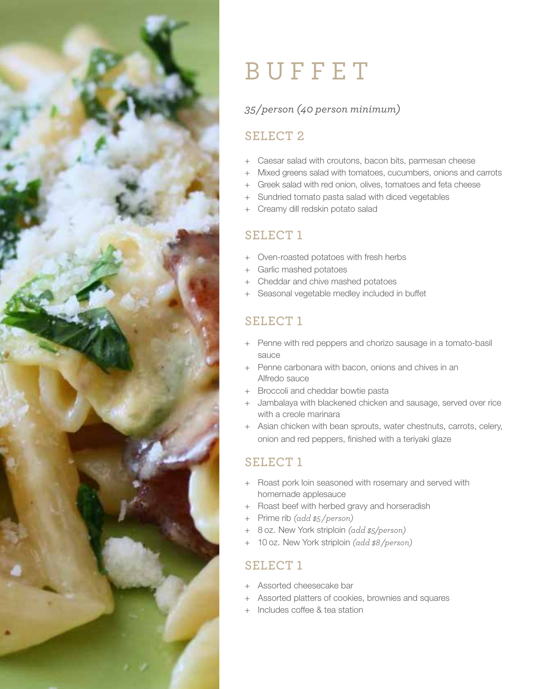

# BUFFET

#### *35 /person (40 person minimum)*

### **SELECT 2**

- + Caesar salad with croutons, bacon bits, parmesan cheese
- + Mixed greens salad with tomatoes, cucumbers, onions and carrots
- + Greek salad with red onion, olives, tomatoes and feta cheese
- + Sundried tomato pasta salad with diced vegetables
- + Creamy dill redskin potato salad

### **SELECT 1**

- + Oven-roasted potatoes with fresh herbs
- + Garlic mashed potatoes
- Cheddar and chive mashed potatoes
- + Seasonal vegetable medley included in buffet

### **SELECT 1**

- + Penne with red peppers and chorizo sausage in a tomato-basil sauce
- + Penne carbonara with bacon, onions and chives in an Alfredo sauce
- + Broccoli and cheddar bowtie pasta
- + Jambalaya with blackened chicken and sausage, served over rice with a creole marinara
- + Asian chicken with bean sprouts, water chestnuts, carrots, celery, onion and red peppers, finished with a teriyaki glaze

### **SELECT 1**

- + Roast pork loin seasoned with rosemary and served with homemade applesauce
- + Roast beef with herbed gravy and horseradish
- + Prime rib *(add \$5 /person)*
- + 8 oz. New York striploin *(add \$5/person)*
- + 10 oz. New York striploin *(add \$8 /person)*

#### **SELECT 1**

- + Assorted cheesecake bar
- + Assorted platters of cookies, brownies and squares
- + Includes coffee & tea station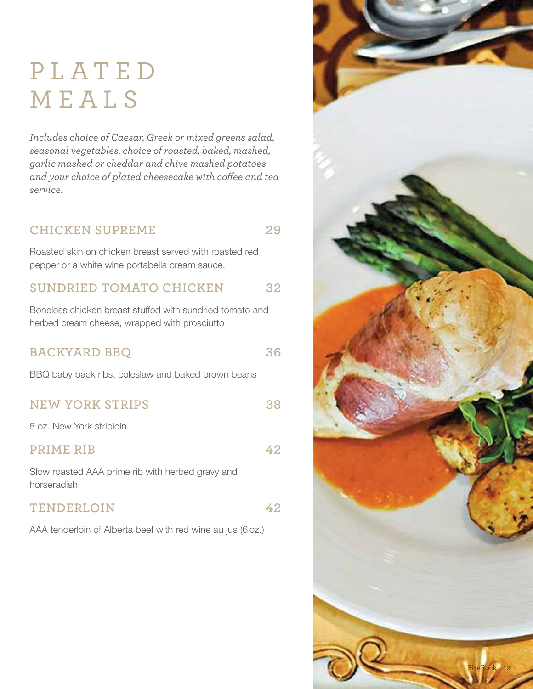# P L A T E D MEALS

*Includes choice of Caesar, Greek or mixed greens salad, seasonal vegetables, choice of roasted, baked, mashed, garlic mashed or cheddar and chive mashed potatoes and your choice of plated cheesecake with coffee and tea service.*

#### **CHICKEN SUPREME 29**

Roasted skin on chicken breast served with roasted red pepper or a white wine portabella cream sauce.

### **SUNDRIED TOMATO CHICKEN 32**

Boneless chicken breast stuffed with sundried tomato and herbed cream cheese, wrapped with prosciutto

## **BACKYARD BBQ 36**

BBQ baby back ribs, coleslaw and baked brown beans

#### **NEW YORK STRIPS 38**

8 oz. New York striploin

#### **PRIME RIB 42**

Slow roasted AAA prime rib with herbed gravy and horseradish

#### **TENDERLOIN 42**

AAA tenderloin of Alberta beef with red wine au jus (6 oz.)

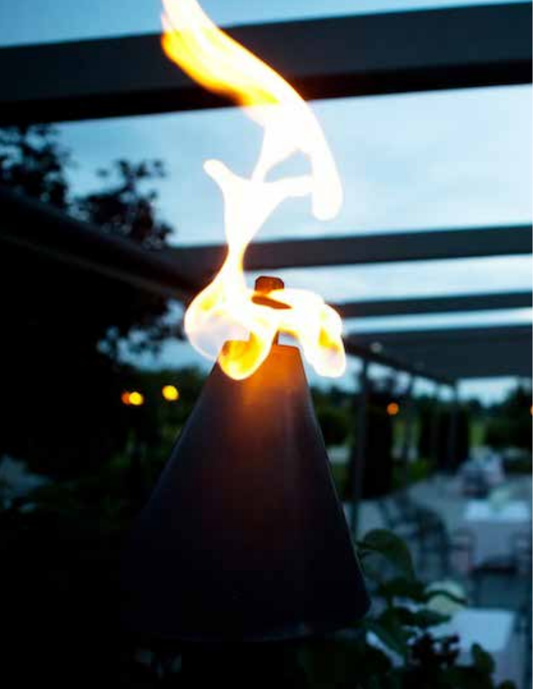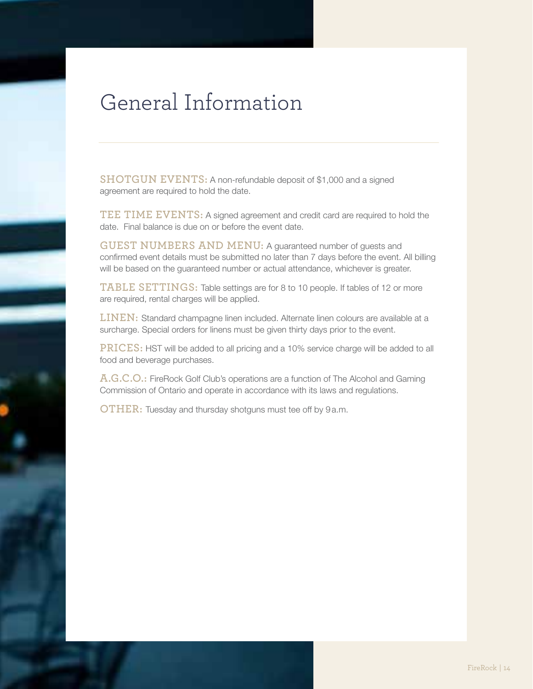# General Information

**SHOTGUN EVENTS:** A non-refundable deposit of \$1,000 and a signed agreement are required to hold the date.

**TEE TIME EVENTS:** A signed agreement and credit card are required to hold the date. Final balance is due on or before the event date.

**GUEST NUMBERS AND MENU:** A guaranteed number of guests and confirmed event details must be submitted no later than 7 days before the event. All billing will be based on the guaranteed number or actual attendance, whichever is greater.

**TABLE SETTINGS:** Table settings are for 8 to 10 people. If tables of 12 or more are required, rental charges will be applied.

**LINEN:** Standard champagne linen included. Alternate linen colours are available at a surcharge. Special orders for linens must be given thirty days prior to the event.

**PRICES:** HST will be added to all pricing and a 10% service charge will be added to all food and beverage purchases.

**A.G.C.O.:** FireRock Golf Club's operations are a function of The Alcohol and Gaming Commission of Ontario and operate in accordance with its laws and regulations.

**OTHER:** Tuesday and thursday shotguns must tee off by 9 a.m.